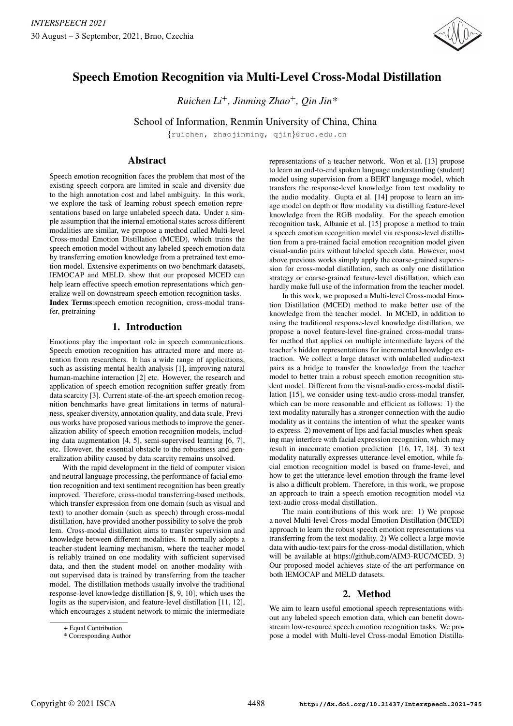

# Speech Emotion Recognition via Multi-Level Cross-Modal Distillation

*Ruichen Li*<sup>+</sup>*, Jinming Zhao*<sup>+</sup>*, Qin Jin\**

School of Information, Renmin University of China, China

{ruichen, zhaojinming, qjin}@ruc.edu.cn

# Abstract

Speech emotion recognition faces the problem that most of the existing speech corpora are limited in scale and diversity due to the high annotation cost and label ambiguity. In this work, we explore the task of learning robust speech emotion representations based on large unlabeled speech data. Under a simple assumption that the internal emotional states across different modalities are similar, we propose a method called Multi-level Cross-modal Emotion Distillation (MCED), which trains the speech emotion model without any labeled speech emotion data by transferring emotion knowledge from a pretrained text emotion model. Extensive experiments on two benchmark datasets, IEMOCAP and MELD, show that our proposed MCED can help learn effective speech emotion representations which generalize well on downstream speech emotion recognition tasks. Index Terms:speech emotion recognition, cross-modal transfer, pretraining

# 1. Introduction

Emotions play the important role in speech communications. Speech emotion recognition has attracted more and more attention from researchers. It has a wide range of applications, such as assisting mental health analysis [1], improving natural human-machine interaction [2] etc. However, the research and application of speech emotion recognition suffer greatly from data scarcity [3]. Current state-of-the-art speech emotion recognition benchmarks have great limitations in terms of naturalness, speaker diversity, annotation quality, and data scale. Previous works have proposed various methods to improve the generalization ability of speech emotion recognition models, including data augmentation [4, 5], semi-supervised learning [6, 7], etc. However, the essential obstacle to the robustness and generalization ability caused by data scarcity remains unsolved.

With the rapid development in the field of computer vision and neutral language processing, the performance of facial emotion recognition and text sentiment recognition has been greatly improved. Therefore, cross-modal transferring-based methods, which transfer expression from one domain (such as visual and text) to another domain (such as speech) through cross-modal distillation, have provided another possibility to solve the problem. Cross-modal distillation aims to transfer supervision and knowledge between different modalities. It normally adopts a teacher-student learning mechanism, where the teacher model is reliably trained on one modality with sufficient supervised data, and then the student model on another modality without supervised data is trained by transferring from the teacher model. The distillation methods usually involve the traditional response-level knowledge distillation [8, 9, 10], which uses the logits as the supervision, and feature-level distillation [11, 12], which encourages a student network to mimic the intermediate

representations of a teacher network. Won et al. [13] propose to learn an end-to-end spoken language understanding (student) model using supervision from a BERT language model, which transfers the response-level knowledge from text modality to the audio modality. Gupta et al. [14] propose to learn an image model on depth or flow modality via distilling feature-level knowledge from the RGB modality. For the speech emotion recognition task, Albanie et al. [15] propose a method to train a speech emotion recognition model via response-level distillation from a pre-trained facial emotion recognition model given visual-audio pairs without labeled speech data. However, most above previous works simply apply the coarse-grained supervision for cross-modal distillation, such as only one distillation strategy or coarse-grained feature-level distillation, which can hardly make full use of the information from the teacher model.

In this work, we proposed a Multi-level Cross-modal Emotion Distillation (MCED) method to make better use of the knowledge from the teacher model. In MCED, in addition to using the traditional response-level knowledge distillation, we propose a novel feature-level fine-grained cross-modal transfer method that applies on multiple intermediate layers of the teacher's hidden representations for incremental knowledge extraction. We collect a large dataset with unlabelled audio-text pairs as a bridge to transfer the knowledge from the teacher model to better train a robust speech emotion recognition student model. Different from the visual-audio cross-modal distillation [15], we consider using text-audio cross-modal transfer, which can be more reasonable and efficient as follows: 1) the text modality naturally has a stronger connection with the audio modality as it contains the intention of what the speaker wants to express. 2) movement of lips and facial muscles when speaking may interfere with facial expression recognition, which may result in inaccurate emotion prediction [16, 17, 18]. 3) text modality naturally expresses utterance-level emotion, while facial emotion recognition model is based on frame-level, and how to get the utterance-level emotion through the frame-level is also a difficult problem. Therefore, in this work, we propose an approach to train a speech emotion recognition model via text-audio cross-modal distillation.

The main contributions of this work are: 1) We propose a novel Multi-level Cross-modal Emotion Distillation (MCED) approach to learn the robust speech emotion representations via transferring from the text modality. 2) We collect a large movie data with audio-text pairs for the cross-modal distillation, which will be available at https://github.com/AIM3-RUC/MCED. 3) Our proposed model achieves state-of-the-art performance on both IEMOCAP and MELD datasets.

## 2. Method

We aim to learn useful emotional speech representations without any labeled speech emotion data, which can benefit downstream low-resource speech emotion recognition tasks. We propose a model with Multi-level Cross-modal Emotion Distilla-

<sup>+</sup> Equal Contribution

<sup>\*</sup> Corresponding Author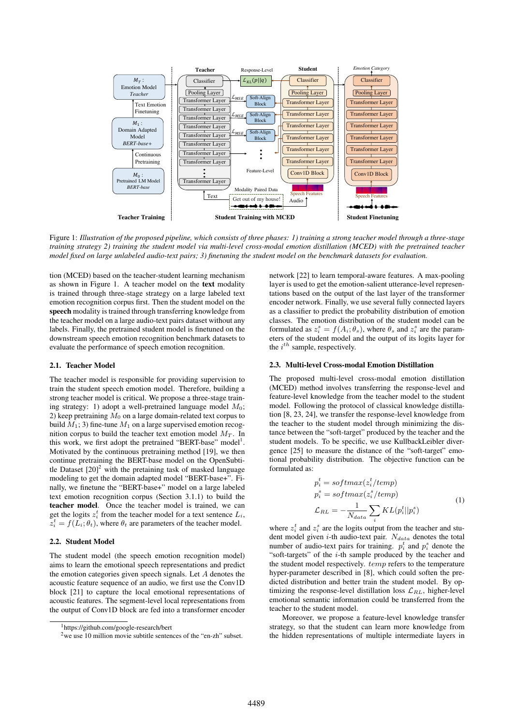

Figure 1: *Illustration of the proposed pipeline, which consists of three phases: 1) training a strong teacher model through a three-stage training strategy 2) training the student model via multi-level cross-modal emotion distillation (MCED) with the pretrained teacher model fixed on large unlabeled audio-text pairs; 3) finetuning the student model on the benchmark datasets for evaluation.*

tion (MCED) based on the teacher-student learning mechanism as shown in Figure 1. A teacher model on the text modality is trained through three-stage strategy on a large labeled text emotion recognition corpus first. Then the student model on the speech modality is trained through transferring knowledge from the teacher model on a large audio-text pairs dataset without any labels. Finally, the pretrained student model is finetuned on the downstream speech emotion recognition benchmark datasets to evaluate the performance of speech emotion recognition.

#### 2.1. Teacher Model

The teacher model is responsible for providing supervision to train the student speech emotion model. Therefore, building a strong teacher model is critical. We propose a three-stage training strategy: 1) adopt a well-pretrained language model  $M_0$ ; 2) keep pretraining  $M_0$  on a large domain-related text corpus to build  $M_1$ ; 3) fine-tune  $M_1$  on a large supervised emotion recognition corpus to build the teacher text emotion model  $M_T$ . In this work, we first adopt the pretrained "BERT-base" model<sup>1</sup>. Motivated by the continuous pretraining method [19], we then continue pretraining the BERT-base model on the OpenSubtitle Dataset  $[20]<sup>2</sup>$  with the pretaining task of masked language modeling to get the domain adapted model "BERT-base+". Finally, we finetune the "BERT-base+" model on a large labeled text emotion recognition corpus (Section 3.1.1) to build the teacher model. Once the teacher model is trained, we can get the logits  $z_i^t$  from the teacher model for a text sentence  $L_i$ ,  $z_t^t = f(L_i; \theta_t)$ , where  $\theta_t$  are parameters of the teacher model.

## 2.2. Student Model

The student model (the speech emotion recognition model) aims to learn the emotional speech representations and predict the emotion categories given speech signals. Let A denotes the acoustic feature sequence of an audio, we first use the Conv1D block [21] to capture the local emotional representations of acoustic features. The segment-level local representations from the output of Conv1D block are fed into a transformer encoder

network [22] to learn temporal-aware features. A max-pooling layer is used to get the emotion-salient utterance-level representations based on the output of the last layer of the transformer encoder network. Finally, we use several fully connected layers as a classifier to predict the probability distribution of emotion classes. The emotion distribution of the student model can be formulated as  $z_i^s = f(A_i; \theta_s)$ , where  $\theta_s$  and  $z_i^s$  are the parameters of the student model and the output of its logits layer for eters of the student model and the output of its logits layer for the  $i^{th}$  sample, respectively.

#### 2.3. Multi-level Cross-modal Emotion Distillation

The proposed multi-level cross-modal emotion distillation (MCED) method involves transferring the response-level and feature-level knowledge from the teacher model to the student model. Following the protocol of classical knowledge distillation [8, 23, 24], we transfer the response-level knowledge from the teacher to the student model through minimizing the distance between the "soft-target" produced by the teacher and the student models. To be specific, we use KullbackLeibler divergence [25] to measure the distance of the "soft-target" emotional probability distribution. The objective function can be formulated as:

$$
p_i^t = softmax(z_i^t / temp)
$$
  
\n
$$
p_i^s = softmax(z_i^s / temp)
$$
  
\n
$$
\mathcal{L}_{RL} = -\frac{1}{N_{data}} \sum_{i} KL(p_i^t || p_i^s)
$$
\n(1)

where  $z_i^t$  and  $z_i^s$  are the logits output from the teacher and student model given *i*-th audio-text pair.  $N_{data}$  denotes the total number of audio-text pairs for training.  $p_i^t$  and  $p_i^s$  denote the "soft-targets" of the  $i$ -th sample produced by the teacher and the student model respectively. *temp* refers to the temperature hyper-parameter described in [8], which could soften the predicted distribution and better train the student model. By optimizing the response-level distillation loss  $\mathcal{L}_{RL}$ , higher-level emotional semantic information could be transferred from the teacher to the student model.

Moreover, we propose a feature-level knowledge transfer strategy, so that the student can learn more knowledge from the hidden representations of multiple intermediate layers in

<sup>1</sup>https://github.com/google-research/bert

<sup>&</sup>lt;sup>2</sup>we use 10 million movie subtitle sentences of the "en-zh" subset.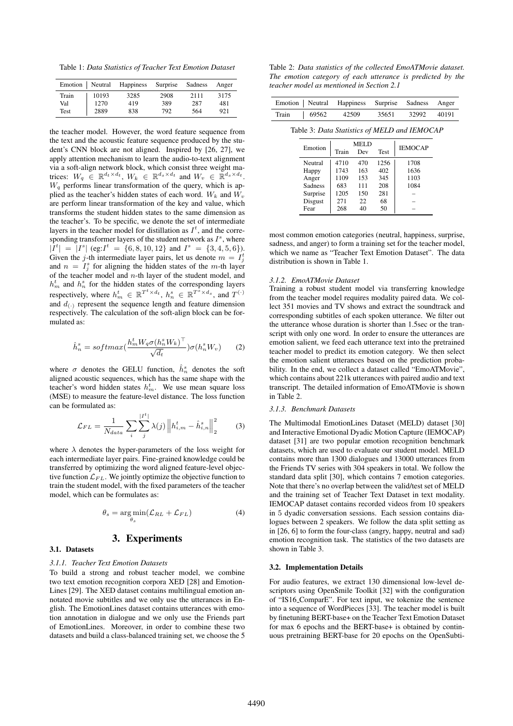Table 1: *Data Statistics of Teacher Text Emotion Dataset*

| Emotion   Neutral |       | <b>Happiness</b> | Surprise | Sadness | Anger |
|-------------------|-------|------------------|----------|---------|-------|
| Train             | 10193 | 3285             | 2908     | 2111    | 3175  |
| Val               | 1270  | 419              | 389      | 287     | 481   |
| Test              | 2889  | 838              | 792      | 564     | 921   |

the teacher model. However, the word feature sequence from the text and the acoustic feature sequence produced by the student's CNN block are not aligned. Inspired by [26, 27], we apply attention mechanism to learn the audio-to-text alignment via a soft-align network block, which consist three weight matrices:  $W_q \in \mathbb{R}^{d_t \times d_t}$ ,  $W_k \in \mathbb{R}^{d_s \times d_t}$  and  $W_v \in \mathbb{R}^{d_s \times d_t}$ .  $W_q$  performs linear transformation of the query, which is applied as the teacher's hidden states of each word.  $W_k$  and  $W_v$ are perform linear transformation of the key and value, which transforms the student hidden states to the same dimension as the teacher's. To be specific, we denote the set of intermediate layers in the teacher model for distillation as  $I^t$ , and the corresponding transformer layers of the student network as  $I<sup>s</sup>$ , where  $|I^t| = |I^s|$  (eg: $I^t = \{6, 8, 10, 12\}$  and  $I^s = \{3, 4, 5, 6\}$ ).<br>Given the *i*-th intermediate layer pairs, let us denote  $m = I^t$ . Given the j-th intermediate layer pairs, let us denote  $m = I_2^t$ <br>and  $n = I_3^s$  for aligning the hidden states of the m-th layer and  $n = I_j^s$  for aligning the hidden states of the m-th layer<br>of the teacher model and n-th layer of the student model, and of the teacher model and  $n$ -th layer of the student model, and  $h_m^t$  and  $h_n^s$  for the hidden states of the corresponding layers respectively, where  $h_m^t \in \mathbb{R}^{T^t \times d_t}$ ,  $h_n^s \in \mathbb{R}^{T^s \times d_s}$ , and  $T^{(\cdot)}$ and  $d_{\left(\cdot\right)}$  represent the sequence length and feature dimension respectively. The calculation of the soft-align block can be formulated as:

$$
\hat{h}_n^s = softmax(\frac{h_m^t W_q \sigma(h_n^s W_k)^{\top}}{\sqrt{d_t}}) \sigma(h_n^s W_v)
$$
 (2)

where  $\sigma$  denotes the GELU function,  $\hat{h}_n^s$  denotes the soft aligned acoustic sequences, which has the same shape with the teacher's word hidden states  $h_m^t$ . We use mean square loss (MSE) to measure the feature-level distance. The loss function can be formulated as:

$$
\mathcal{L}_{FL} = \frac{1}{N_{data}} \sum_{i} \sum_{j} \left| \sum_{j}^{I^{t}} \lambda(j) \left\| h_{i,m}^{t} - \hat{h}_{i,n}^{s} \right\|_{2}^{2} \tag{3}
$$

where  $\lambda$  denotes the hyper-parameters of the loss weight for each intermediate layer pairs. Fine-grained knowledge could be transferred by optimizing the word aligned feature-level objective function  $\mathcal{L}_{FL}$ . We jointly optimize the objective function to train the student model, with the fixed parameters of the teacher model, which can be formulates as:

$$
\theta_s = \underset{\theta_s}{\arg\min} (\mathcal{L}_{RL} + \mathcal{L}_{FL}) \tag{4}
$$

## 3. Experiments

#### 3.1. Datasets

### *3.1.1. Teacher Text Emotion Datasets*

To build a strong and robust teacher model, we combine two text emotion recognition corpora XED [28] and Emotion-Lines [29]. The XED dataset contains multilingual emotion annotated movie subtitles and we only use the utterances in English. The EmotionLines dataset contains utterances with emotion annotation in dialogue and we only use the Friends part of EmotionLines. Moreover, in order to combine these two datasets and build a class-balanced training set, we choose the 5

Table 2: *Data statistics of the collected EmoATMovie dataset. The emotion category of each utterance is predicted by the teacher model as mentioned in Section 2.1*

|  |                                              | Emotion   Neutral Happiness Surprise Sadness Anger |                |       |
|--|----------------------------------------------|----------------------------------------------------|----------------|-------|
|  | Train   69562 42509                          |                                                    | 35651 32992    | 40191 |
|  | Table 3: Data Statistics of MELD and IEMOCAP |                                                    |                |       |
|  | Emotion Train Dev Test                       |                                                    | <b>IEMOCAP</b> |       |

| елионоп        | Train | Dev | Test | IEIVIUUAF |
|----------------|-------|-----|------|-----------|
| Neutral        | 4710  | 470 | 1256 | 1708      |
| Happy          | 1743  | 163 | 402  | 1636      |
| Anger          | 1109  | 153 | 345  | 1103      |
| <b>Sadness</b> | 683   | 111 | 208  | 1084      |
| Surprise       | 1205  | 150 | 281  |           |
| Disgust        | 271   | 22  | 68   |           |
| Fear           | 268   | 40  | 50   |           |
|                |       |     |      |           |

most common emotion categories (neutral, happiness, surprise, sadness, and anger) to form a training set for the teacher model, which we name as "Teacher Text Emotion Dataset". The data distribution is shown in Table 1.

#### *3.1.2. EmoATMovie Dataset*

Training a robust student model via transferring knowledge from the teacher model requires modality paired data. We collect 351 movies and TV shows and extract the soundtrack and corresponding subtitles of each spoken utterance. We filter out the utterance whose duration is shorter than 1.5sec or the transcript with only one word. In order to ensure the utterances are emotion salient, we feed each utterance text into the pretrained teacher model to predict its emotion category. We then select the emotion salient utterances based on the prediction probability. In the end, we collect a dataset called "EmoATMovie", which contains about 221k utterances with paired audio and text transcript. The detailed information of EmoATMovie is shown in Table 2.

## *3.1.3. Benchmark Datasets*

The Multimodal EmotionLines Dataset (MELD) dataset [30] and Interactive Emotional Dyadic Motion Capture (IEMOCAP) dataset [31] are two popular emotion recognition benchmark datasets, which are used to evaluate our student model. MELD contains more than 1300 dialogues and 13000 utterances from the Friends TV series with 304 speakers in total. We follow the standard data split [30], which contains 7 emotion categories. Note that there's no overlap between the valid/test set of MELD and the training set of Teacher Text Dataset in text modality. IEMOCAP dataset contains recorded videos from 10 speakers in 5 dyadic conversation sessions. Each session contains dialogues between 2 speakers. We follow the data split setting as in [26, 6] to form the four-class (angry, happy, neutral and sad) emotion recognition task. The statistics of the two datasets are shown in Table 3.

#### 3.2. Implementation Details

For audio features, we extract 130 dimensional low-level descriptors using OpenSmile Toolkit [32] with the configuration of "IS16 ComparE". For text input, we tokenize the sentence into a sequence of WordPieces [33]. The teacher model is built by finetuning BERT-base+ on the Teacher Text Emotion Dataset for max 6 epochs and the BERT-base+ is obtained by continuous pretraining BERT-base for 20 epochs on the OpenSubti-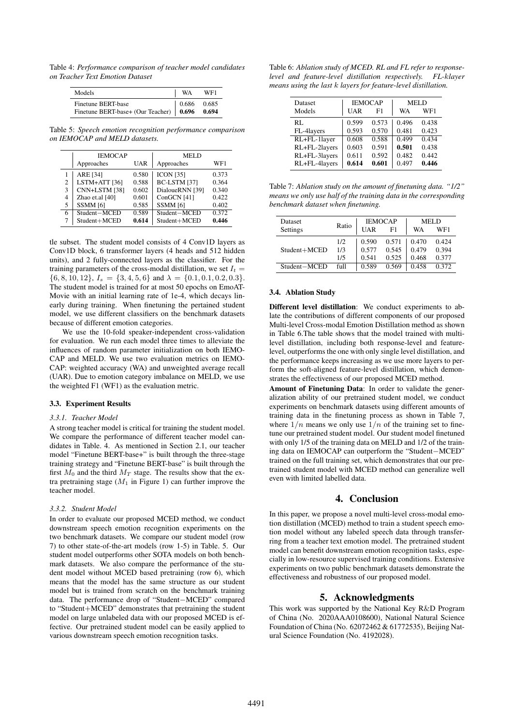Table 4: *Performance comparison of teacher model candidates on Teacher Text Emotion Dataset*

| Models                                                              | WA | WF1 |
|---------------------------------------------------------------------|----|-----|
| Finetune BERT-base<br>Finetune BERT-base+ (Our Teacher) 0.696 0.694 |    |     |

Table 5: *Speech emotion recognition performance comparison on IEMOCAP and MELD datasets.*

| <b>IEMOCAP</b> |                     |       | <b>MELD</b>         |       |  |
|----------------|---------------------|-------|---------------------|-------|--|
|                | Approaches          | UAR   | Approaches          | WF1   |  |
|                | ARE [34]            | 0.580 | <b>ICON [35]</b>    | 0.373 |  |
| $\overline{c}$ | LSTM+ATT [36]       | 0.588 | BC-LSTM [37]        | 0.364 |  |
| 3              | CNN+LSTM [38]       | 0.602 | DialoueRNN [39]     | 0.340 |  |
| 4              | Zhao et.al [40]     | 0.601 | ConGCN [41]         | 0.422 |  |
| 5              | SSMM <sub>[6]</sub> | 0.585 | SSMM <sub>[6]</sub> | 0.402 |  |
| 6              | Student-MCED        | 0.589 | Student-MCED        | 0.372 |  |
| $\tau$         | Student+MCED        | 0.614 | Student+MCED        | 0.446 |  |

tle subset. The student model consists of 4 Conv1D layers as Conv1D block, 6 transformer layers (4 heads and 512 hidden units), and 2 fully-connected layers as the classifier. For the training parameters of the cross-modal distillation, we set  $I_t =$  $\{6, 8, 10, 12\}, I_s = \{3, 4, 5, 6\}$  and  $\lambda = \{0.1, 0.1, 0.2, 0.3\}.$ The student model is trained for at most 50 epochs on EmoAT-Movie with an initial learning rate of 1e-4, which decays linearly during training. When finetuning the pertained student model, we use different classifiers on the benchmark datasets because of different emotion categories.

We use the 10-fold speaker-independent cross-validation for evaluation. We run each model three times to alleviate the influences of random parameter initialization on both IEMO-CAP and MELD. We use two evaluation metrics on IEMO-CAP: weighted accuracy (WA) and unweighted average recall (UAR). Due to emotion category imbalance on MELD, we use the weighted F1 (WF1) as the evaluation metric.

#### 3.3. Experiment Results

#### *3.3.1. Teacher Model*

A strong teacher model is critical for training the student model. We compare the performance of different teacher model candidates in Table. 4. As mentioned in Section 2.1, our teacher model "Finetune BERT-base+" is built through the three-stage training strategy and "Finetune BERT-base" is built through the first  $M_0$  and the third  $M_T$  stage. The results show that the extra pretraining stage  $(M_1$  in Figure 1) can further improve the teacher model.

#### *3.3.2. Student Model*

In order to evaluate our proposed MCED method, we conduct downstream speech emotion recognition experiments on the two benchmark datasets. We compare our student model (row 7) to other state-of-the-art models (row 1-5) in Table. 5. Our student model outperforms other SOTA models on both benchmark datasets. We also compare the performance of the student model without MCED based pretraining (row 6), which means that the model has the same structure as our student model but is trained from scratch on the benchmark training data. The performance drop of "Student−MCED" compared to "Student+MCED" demonstrates that pretraining the student model on large unlabeled data with our proposed MCED is effective. Our pretrained student model can be easily applied to various downstream speech emotion recognition tasks.

| Table 6: Ablation study of MCED. RL and FL refer to response- |  |
|---------------------------------------------------------------|--|
| level and feature-level distillation respectively. FL-klayer  |  |
| means using the last k layers for feature-level distillation. |  |

| Dataset       |       | <b>IEMOCAP</b> | <b>MELD</b>    |                    |
|---------------|-------|----------------|----------------|--------------------|
| Models        | UAR   | F1             | WA             | WF1                |
| RL.           | 0.599 | 0.573          | 0.496          | 0.438              |
| FL-4layers    | 0.593 | 0.570          | 0.481          | 0.423              |
| RL+FL-1layer  | 0.608 | 0.588          | $\sqrt{0.499}$ | $\overline{0.434}$ |
| RL+FL-2layers | 0.603 | 0.591          | 0.501          | 0.438              |
| RL+FL-3layers | 0.611 | 0.592          | 0.482          | 0.442              |
| RL+FL-4layers | 0.614 | 0.601          | 0.497          | 0.446              |

Table 7: *Ablation study on the amount of finetuning data. "1/2" means we only use half of the training data in the corresponding benchmark dataset when finetuning.*

| <b>Dataset</b> |       |       | <b>IEMOCAP</b> | MEL D |       |
|----------------|-------|-------|----------------|-------|-------|
| Settings       | Ratio | UAR   | F1             | WA    | WF1   |
|                | 1/2.  | 0.590 | 0.571          | 0.470 | 0.424 |
| Student+MCED   | 1/3   | 0.577 | 0.545          | 0.479 | 0.394 |
|                | 1/5   | 0.541 | 0.525          | 0.468 | 0.377 |
| Student-MCED   | full  | 0.589 | 0.569          | 0.458 | 0.372 |

## 3.4. Ablation Study

Different level distillation: We conduct experiments to ablate the contributions of different components of our proposed Multi-level Cross-modal Emotion Distillation method as shown in Table 6.The table shows that the model trained with multilevel distillation, including both response-level and featurelevel, outperforms the one with only single level distillation, and the performance keeps increasing as we use more layers to perform the soft-aligned feature-level distillation, which demonstrates the effectiveness of our proposed MCED method.

Amount of Finetuning Data: In order to validate the generalization ability of our pretrained student model, we conduct experiments on benchmark datasets using different amounts of training data in the finetuning process as shown in Table 7, where  $1/n$  means we only use  $1/n$  of the training set to finetune our pretrained student model. Our student model finetuned with only 1/5 of the training data on MELD and 1/2 of the training data on IEMOCAP can outperform the "Student−MCED" trained on the full training set, which demonstrates that our pretrained student model with MCED method can generalize well even with limited labelled data.

# 4. Conclusion

In this paper, we propose a novel multi-level cross-modal emotion distillation (MCED) method to train a student speech emotion model without any labeled speech data through transferring from a teacher text emotion model. The pretrained student model can benefit downstream emotion recognition tasks, especially in low-resource supervised training conditions. Extensive experiments on two public benchmark datasets demonstrate the effectiveness and robustness of our proposed model.

# 5. Acknowledgments

This work was supported by the National Key R&D Program of China (No. 2020AAA0108600), National Natural Science Foundation of China (No. 62072462 & 61772535), Beijing Natural Science Foundation (No. 4192028).